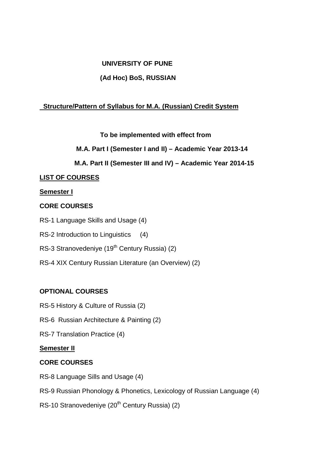## **UNIVERSITY OF PUNE**

## **(Ad Hoc) BoS, RUSSIAN**

## **Structure/Pattern of Syllabus for M.A. (Russian) Credit System**

## **To be implemented with effect from**

## **M.A. Part I (Semester I and II) – Academic Year 2013-14**

## **M.A. Part II (Semester III and IV) – Academic Year 2014-15**

## **LIST OF COURSES**

## **Semester I**

## **CORE COURSES**

- RS-1 Language Skills and Usage (4)
- RS-2 Introduction to Linguistics (4)
- RS-3 Stranovedeniye (19<sup>th</sup> Century Russia) (2)
- RS-4 XIX Century Russian Literature (an Overview) (2)

## **OPTIONAL COURSES**

- RS-5 History & Culture of Russia (2)
- RS-6 Russian Architecture & Painting (2)
- RS-7 Translation Practice (4)

#### **Semester II**

## **CORE COURSES**

- RS-8 Language Sills and Usage (4)
- RS-9 Russian Phonology & Phonetics, Lexicology of Russian Language (4)
- RS-10 Stranovedeniye (20<sup>th</sup> Century Russia) (2)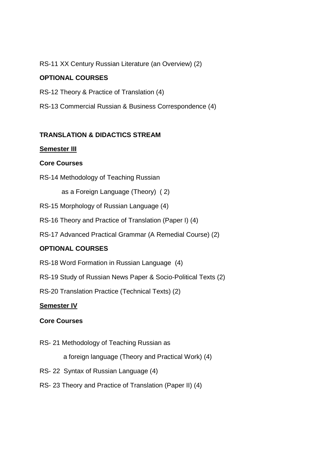RS-11 XX Century Russian Literature (an Overview) (2)

## **OPTIONAL COURSES**

RS-12 Theory & Practice of Translation (4)

RS-13 Commercial Russian & Business Correspondence (4)

## **TRANSLATION & DIDACTICS STREAM**

#### **Semester III**

## **Core Courses**

RS-14 Methodology of Teaching Russian

as a Foreign Language (Theory) ( 2)

- RS-15 Morphology of Russian Language (4)
- RS-16 Theory and Practice of Translation (Paper I) (4)
- RS-17 Advanced Practical Grammar (A Remedial Course) (2)

## **OPTIONAL COURSES**

- RS-18 Word Formation in Russian Language (4)
- RS-19 Study of Russian News Paper & Socio-Political Texts (2)
- RS-20 Translation Practice (Technical Texts) (2)

#### **Semester IV**

#### **Core Courses**

RS- 21 Methodology of Teaching Russian as

a foreign language (Theory and Practical Work) (4)

- RS- 22 Syntax of Russian Language (4)
- RS- 23 Theory and Practice of Translation (Paper II) (4)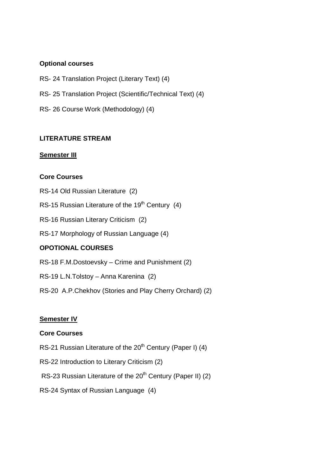#### **Optional courses**

- RS- 24 Translation Project (Literary Text) (4)
- RS- 25 Translation Project (Scientific/Technical Text) (4)
- RS- 26 Course Work (Methodology) (4)

#### **LITERATURE STREAM**

#### **Semester III**

#### **Core Courses**

- RS-14 Old Russian Literature (2)
- RS-15 Russian Literature of the 19<sup>th</sup> Century (4)
- RS-16 Russian Literary Criticism (2)
- RS-17 Morphology of Russian Language (4)

#### **OPOTIONAL COURSES**

- RS-18 F.M.Dostoevsky Crime and Punishment (2)
- RS-19 L.N.Tolstoy Anna Karenina (2)
- RS-20 A.P.Chekhov (Stories and Play Cherry Orchard) (2)

#### **Semester IV**

#### **Core Courses**

- RS-21 Russian Literature of the 20<sup>th</sup> Century (Paper I) (4)
- RS-22 Introduction to Literary Criticism (2)
- RS-23 Russian Literature of the 20<sup>th</sup> Century (Paper II) (2)
- RS-24 Syntax of Russian Language (4)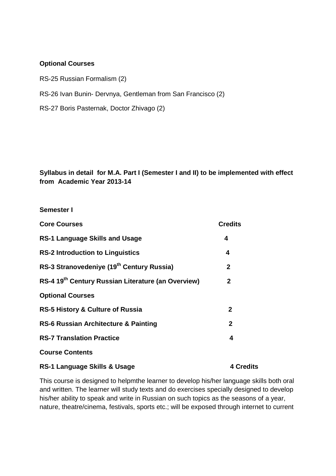#### **Optional Courses**

RS-25 Russian Formalism (2)

RS-26 Ivan Bunin- Dervnya, Gentleman from San Francisco (2)

RS-27 Boris Pasternak, Doctor Zhivago (2)

**Syllabus in detail for M.A. Part I (Semester I and II) to be implemented with effect from Academic Year 2013-14** 

| <b>Semester I</b>                                              |                  |
|----------------------------------------------------------------|------------------|
| <b>Core Courses</b>                                            | <b>Credits</b>   |
| <b>RS-1 Language Skills and Usage</b>                          | 4                |
| <b>RS-2 Introduction to Linguistics</b>                        | 4                |
| RS-3 Stranovedeniye (19 <sup>th</sup> Century Russia)          | $\mathbf{2}$     |
| RS-4 19 <sup>th</sup> Century Russian Literature (an Overview) | $\mathbf{2}$     |
| <b>Optional Courses</b>                                        |                  |
| <b>RS-5 History &amp; Culture of Russia</b>                    | $\mathbf{2}$     |
| <b>RS-6 Russian Architecture &amp; Painting</b>                | $\mathbf{2}$     |
| <b>RS-7 Translation Practice</b>                               | 4                |
| <b>Course Contents</b>                                         |                  |
| RS-1 Language Skills & Usage                                   | <b>4 Credits</b> |

This course is designed to helpmthe learner to develop his/her language skills both oral and written. The learner will study texts and do exercises specially designed to develop his/her ability to speak and write in Russian on such topics as the seasons of a year, nature, theatre/cinema, festivals, sports etc.; will be exposed through internet to current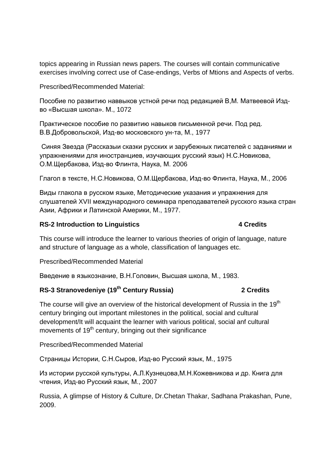topics appearing in Russian news papers. The courses will contain communicative exercises involving correct use of Case-endings, Verbs of Mtions and Aspects of verbs.

Prescribed/Recommended Material:

Пособие по развитию наввыков устной речи под редакцией В,М. Матвеевой Издво «Высшая школа». М., 1072

Практическое пособие по развитию навыков письменной речи. Под ред. В.В.Добровольской, Изд-во московского ун-та, М., 1977

Синяя Звезда (Рассказыи сказки русских и зарубежных писателей с заданиями и упражнениями для иностранциев, изучающих русский язык) Н.С.Новикова, О.М.Щербакова, Изд-во Флинта, Наука, М. 2006

Глагол в тексте, Н.С.Новикова, О.М.Щербакова, Изд-во Флинта, Наука, М., 2006

Виды глакола в русском языке, Методические указания и упражнения для слушателей XVII международного семинара преподавателей русского языка стран Азии, Африки и Латинской Америки, М., 1977.

#### **RS-2 Introduction to Linguistics 4 Credits**

This course will introduce the learner to various theories of origin of language, nature and structure of language as a whole, classification of languages etc.

Prescribed/Recommended Material

Введение в языкознание, В.Н.Головин, Высшая школа, М., 1983.

# **RS-3 Stranovedeniye (19th Century Russia) 2 Credits**

The course will give an overview of the historical development of Russia in the 19<sup>th</sup> century bringing out important milestones in the political, social and cultural development/It will acquaint the learner with various political, social anf cultural movements of 19<sup>th</sup> century, bringing out their significance

Prescribed/Recommended Material

Страницы Истории, С.Н.Сыров, Изд-во Русский язык, М., 1975

Из истории русской культуры, А.Л.Кузнецова,М.Н.Кожевникова и др. Книга для чтения, Изд-во Русский язык, М., 2007

Russia, A glimpse of History & Culture, Dr.Chetan Thakar, Sadhana Prakashan, Pune, 2009.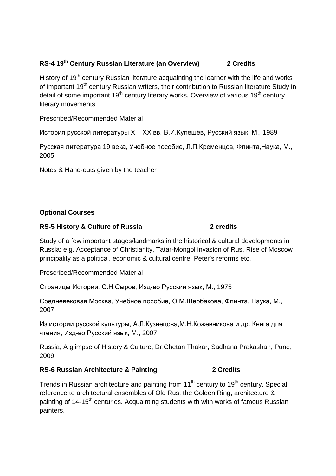## **RS-4 19th Century Russian Literature (an Overview) 2 Credits**

History of 19<sup>th</sup> century Russian literature acquainting the learner with the life and works of important 19<sup>th</sup> century Russian writers, their contribution to Russian literature Study in detail of some important  $19<sup>th</sup>$  century literary works, Overview of various  $19<sup>th</sup>$  century literary movements

Prescribed/Recommended Material

История русской литературы X – XX вв. В.И.Кулешёв, Русский язык, М., 1989

Русская литература 19 века, Учебное пособие, Л.П.Кременцов, Флинта,Наука, М., 2005.

Notes & Hand-outs given by the teacher

## **Optional Courses**

#### **RS-5 History & Culture of Russia 2 credits**

Study of a few important stages/landmarks in the historical & cultural developments in Russia: e.g. Acceptance of Christianity, Tatar-Mongol invasion of Rus, Rise of Moscow principality as a political, economic & cultural centre, Peter's reforms etc.

Prescribed/Recommended Material

Страницы Истории, С.Н.Сыров, Изд-во Русский язык, М., 1975

Средневековая Москва, Учебное пособие, О.М.Щербакова, Флинта, Наука, М., 2007

Из истории русской культуры, А.Л.Кузнецова,М.Н.Кожевникова и др. Книга для чтения, Изд-во Русский язык, М., 2007

Russia, A glimpse of History & Culture, Dr.Chetan Thakar, Sadhana Prakashan, Pune, 2009.

#### **RS-6 Russian Architecture & Painting 2 Credits**

Trends in Russian architecture and painting from  $11<sup>th</sup>$  century to  $19<sup>th</sup>$  century. Special reference to architectural ensembles of Old Rus, the Golden Ring, architecture & painting of 14-15<sup>th</sup> centuries. Acquainting students with with works of famous Russian painters.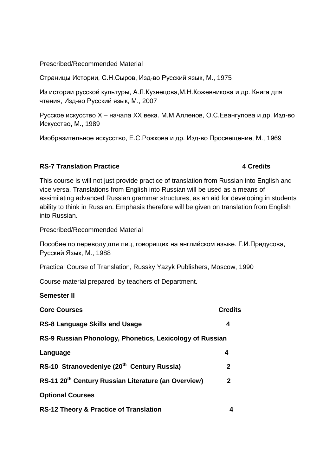Prescribed/Recommended Material

Страницы Истории, С.Н.Сыров, Изд-во Русский язык, М., 1975

Из истории русской культуры, А.Л.Кузнецова,М.Н.Кожевникова и др. Книга для чтения, Изд-во Русский язык, М., 2007

Русское искусство X – начала XX века. М.М.Алленов, О.С.Евангулова и др. Изд-во Искусство, М., 1989

Изобразительное искусство, Е.С.Рожкова и др. Изд-во Просвещение, М., 1969

#### **RS-7 Translation Practice 4 Credits**

This course is will not just provide practice of translation from Russian into English and vice versa. Translations from English into Russian will be used as a means of assimilating advanced Russian grammar structures, as an aid for developing in students ability to think in Russian. Emphasis therefore will be given on translation from English into Russian.

Prescribed/Recommended Material

Пособие по переводу для лиц, говорящих на английском языке. Г.И.Прядусова, Русский Язык, М., 1988

Practical Course of Translation, Russky Yazyk Publishers, Moscow, 1990

Course material prepared by teachers of Department.

#### **Semester II**

| <b>Core Courses</b>                                             | <b>Credits</b> |
|-----------------------------------------------------------------|----------------|
| <b>RS-8 Language Skills and Usage</b>                           | 4              |
| RS-9 Russian Phonology, Phonetics, Lexicology of Russian        |                |
| Language                                                        | 4              |
| RS-10 Stranovedeniye (20 <sup>th</sup> Century Russia)          | $\mathbf{2}$   |
| RS-11 20 <sup>th</sup> Century Russian Literature (an Overview) | $\mathbf{2}$   |
| <b>Optional Courses</b>                                         |                |
| <b>RS-12 Theory &amp; Practice of Translation</b>               | 4              |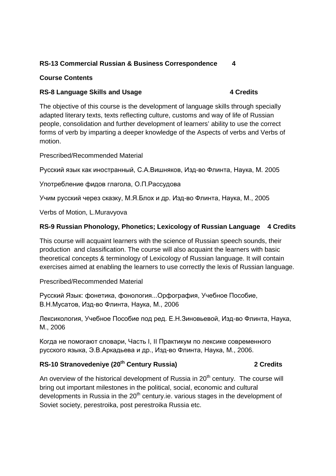## **RS-13 Commercial Russian & Business Correspondence 4**

#### **Course Contents**

## RS-8 Language Skills and Usage **4 Credits**

The objective of this course is the development of language skills through specially adapted literary texts, texts reflecting culture, customs and way of life of Russian people, consolidation and further development of learners' ability to use the correct forms of verb by imparting a deeper knowledge of the Aspects of verbs and Verbs of motion.

Prescribed/Recommended Material

Русский язык как иностранный, С.А.Вишняков, Изд-во Флинта, Наука, М. 2005

Употребление фидов глагола, О.П.Рассудова

Учим русский через сказку, М.Я.Блох и др. Изд-во Флинта, Наука, М., 2005

Verbs of Motion, L.Muravyova

## **RS-9 Russian Phonology, Phonetics; Lexicology of Russian Language 4 Credits**

This course will acquaint learners with the science of Russian speech sounds, their production and classification. The course will also acquaint the learners with basic theoretical concepts & terminology of Lexicology of Russian language. It will contain exercises aimed at enabling the learners to use correctly the lexis of Russian language.

Prescribed/Recommended Material

Русский Язык: фонетика, фонология...Орфография, Учебное Пособие, В.Н.Мусатов, Изд-во Флинта, Наука, М., 2006

Лексикология, Учебное Пособие под ред. Е.Н.Зиновьевой, Изд-во Флинта, Наука, М., 2006

Когда не помогают словари, Часть I, II Практикум по лексике современного русского языка, Э.В.Аркадьева и др., Изд-во Флинта, Наука, М., 2006.

## **RS-10 Stranovedeniye (20th Century Russia) 2 Credits**

An overview of the historical development of Russia in  $20<sup>th</sup>$  century. The course will bring out important milestones in the political, social, economic and cultural developments in Russia in the  $20<sup>th</sup>$  century.ie. various stages in the development of Soviet society, perestroika, post perestroika Russia etc.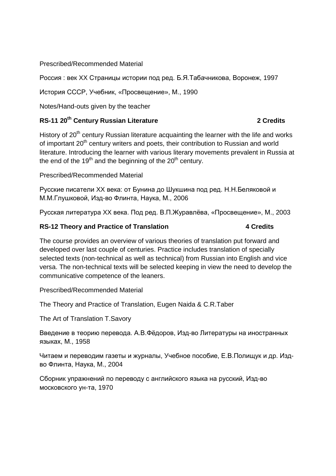#### Prescribed/Recommended Material

Россия : век XX Страницы истории под ред. Б.Я.Табачникова, Воронеж, 1997

История СССР, Учебник, «Просвещение», М., 1990

Notes/Hand-outs given by the teacher

## **RS-11 20<sup>th</sup> Century Russian Literature 2 Credits 2 Credits**

History of  $20<sup>th</sup>$  century Russian literature acquainting the learner with the life and works of important 20<sup>th</sup> century writers and poets, their contribution to Russian and world literature. Introducing the learner with various literary movements prevalent in Russia at the end of the  $19<sup>th</sup>$  and the beginning of the  $20<sup>th</sup>$  century.

#### Prescribed/Recommended Material

Русские писатели XX века: от Бунина до Шукшина под ред. Н.Н.Беляковой и М.М.Глушковой, Изд-во Флинта, Наука, М., 2006

Русская литература XX века. Под ред. В.П.Журавлёва, «Просвещение», М., 2003

#### **RS-12 Theory and Practice of Translation 4 Credits**

## The course provides an overview of various theories of translation put forward and developed over last couple of centuries. Practice includes translation of specially selected texts (non-technical as well as technical) from Russian into English and vice versa. The non-technical texts will be selected keeping in view the need to develop the communicative competence of the leaners.

Prescribed/Recommended Material

The Theory and Practice of Translation, Eugen Naida & C.R.Taber

The Art of Translation T.Savory

Введение в теорию перевода. А.В.Фёдоров, Изд-во Литературы на иностранных языках, М., 1958

Читаем и переводим газеты и журналы, Учебное пособие, Е.В.Полищук и др. Издво Флинта, Наука, М., 2004

Сборник упражнений по переводу с английского языка на русский, Изд-во московского ун-та, 1970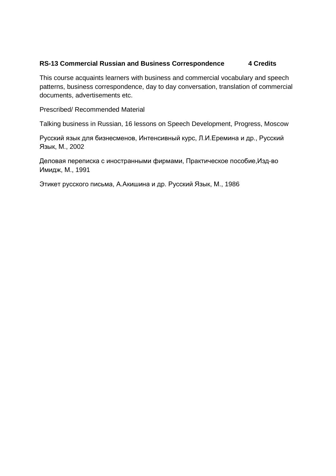#### **RS-13 Commercial Russian and Business Correspondence 4 Credits**

This course acquaints learners with business and commercial vocabulary and speech patterns, business correspondence, day to day conversation, translation of commercial documents, advertisements etc.

Prescribed/ Recommended Material

Talking business in Russian, 16 lessons on Speech Development, Progress, Moscow

Русский язык для бизнесменов, Интенсивный курс, Л.И.Еремина и др., Русский Язык, М., 2002

Деловая переписка с иностранными фирмами, Практическое пособие,Изд-во Имидж, М., 1991

Этикет русского письма, А.Акишина и др. Русский Язык, М., 1986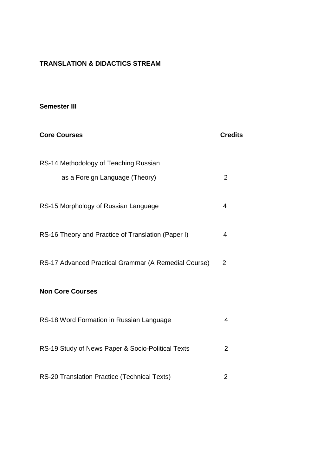## **TRANSLATION & DIDACTICS STREAM**

#### **Semester III**

| <b>Core Courses</b>                                  | <b>Credits</b> |
|------------------------------------------------------|----------------|
| RS-14 Methodology of Teaching Russian                |                |
| as a Foreign Language (Theory)                       | 2              |
| RS-15 Morphology of Russian Language                 | 4              |
| RS-16 Theory and Practice of Translation (Paper I)   | 4              |
| RS-17 Advanced Practical Grammar (A Remedial Course) | $\overline{2}$ |
| <b>Non Core Courses</b>                              |                |
| RS-18 Word Formation in Russian Language             | 4              |
| RS-19 Study of News Paper & Socio-Political Texts    | $\overline{2}$ |
| RS-20 Translation Practice (Technical Texts)         | 2              |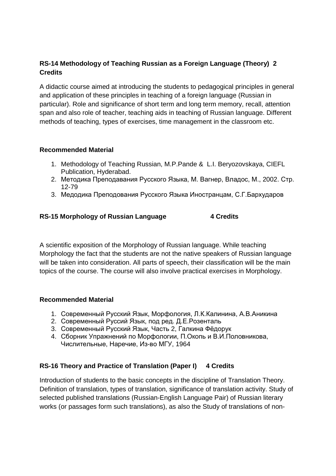## **RS-14 Methodology of Teaching Russian as a Foreign Language (Theory) 2 Credits**

A didactic course aimed at introducing the students to pedagogical principles in general and application of these principles in teaching of a foreign language (Russian in particular). Role and significance of short term and long term memory, recall, attention span and also role of teacher, teaching aids in teaching of Russian language. Different methods of teaching, types of exercises, time management in the classroom etc.

## **Recommended Material**

- 1. Methodology of Teaching Russian, M.P.Pande & L.I. Beryozovskaya, CIEFL Publication, Hyderabad.
- 2. Методика Преподавания Русского Языка, М. Вагнер, Владос, М., 2002. Стр. 12-79
- 3. Медодика Преподования Русского Языка Иностранцам, С.Г.Бархударов

## **RS-15 Morphology of Russian Language 4 Credits**

A scientific exposition of the Morphology of Russian language. While teaching Morphology the fact that the students are not the native speakers of Russian language will be taken into consideration. All parts of speech, their classification will be the main topics of the course. The course will also involve practical exercises in Morphology.

#### **Recommended Material**

- 1. Современный Русский Язык, Морфология, Л.К.Калинина, А.В.Аникина
- 2. Современный Руссий Язык, под ред. Д.Е.Розенталь
- 3. Современный Русский Язык, Часть 2, Галкина Фёдорук
- 4. Сборник Упражнений по Морфологии, П.Окопь и В.И.Половникова, Числительные, Наречие, Из-во МГУ, 1964

#### **RS-16 Theory and Practice of Translation (Paper I) 4 Credits**

Introduction of students to the basic concepts in the discipline of Translation Theory. Definition of translation, types of translation, significance of translation activity. Study of selected published translations (Russian-English Language Pair) of Russian literary works (or passages form such translations), as also the Study of translations of non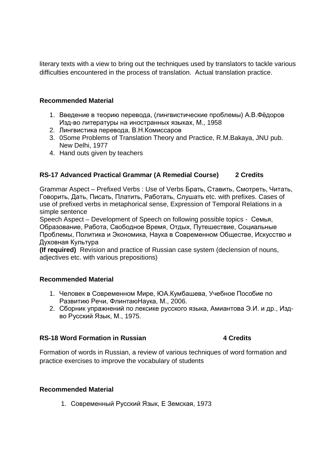literary texts with a view to bring out the techniques used by translators to tackle various difficulties encountered in the process of translation. Actual translation practice.

#### **Recommended Material**

- 1. Введение в теорию перевода, (лингвистические проблемы) А.В.Фёдоров Изд-во литературы на иностранных языках, М., 1958
- 2. Лингвистика перевода, В.Н.Комиссаров
- 3. 0Some Problems of Translation Theory and Practice, R.M.Bakaya, JNU pub. New Delhi, 1977
- 4. Hand outs given by teachers

## **RS-17 Advanced Practical Grammar (A Remedial Course) 2 Credits**

Grammar Aspect – Prefixed Verbs : Use of Verbs Брать, Ставить, Смотреть, Читать, Говорить, Дать, Писать, Платить, Работать, Слушать etc. with prefixes. Cases of use of prefixed verbs in metaphorical sense, Expression of Temporal Relations in a simple sentence

Speech Aspect – Development of Speech on following possible topics - Семья, Образование, Работа, Свободное Время, Отдых, Путешествие, Социальные Проблемы, Политика и Экономика, Наука в Современном Обществе, Искусство и Духовная Культура

**(If required)** Revision and practice of Russian case system (declension of nouns, adjectives etc. with various prepositions)

#### **Recommended Material**

- 1. Человек в Современном Мире, ЮА.Кумбашева, Учебное Пособие по Развитию Речи, ФлинтаюНаука, М., 2006.
- 2. Сборник упражнений по лексике русского языка, Амиантова Э.И. и др., Издво Русский Язык, М., 1975.

#### **RS-18 Word Formation in Russian 4 Credits**

# Formation of words in Russian, a review of various techniques of word formation and practice exercises to improve the vocabulary of students

## **Recommended Material**

1. Современный Русский Язык, Е Земская, 1973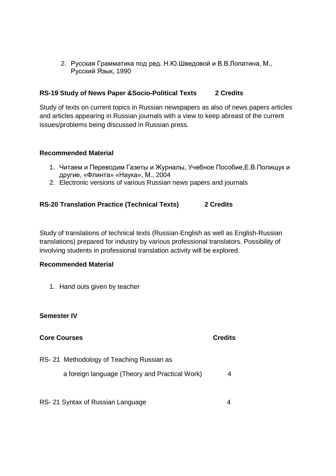2. Русская Грамматика под ред. Н.Ю.Шведовой и В.В.Лопатина, М., Русский Язык, 1990

#### **RS-19 Study of News Paper &Socio-Political Texts 2 Credits**

Study of texts on current topics in Russian newspapers as also of news papers articles and articles appearing in Russian journals with a view to keep abreast of the current issues/problems being discussed in Russian press.

#### **Recommended Material**

- 1. Читаем и Переводим Газеты и Журналы, Учебное Пособие,Е.В.Полищук и другие, «Флинта» «Наука», М., 2004
- 2. Electronic versions of various Russian news papers and journals

#### **RS-20 Translation Practice (Technical Texts) 2 Credits**

Study of translations of technical texts (Russian-English as well as English-Russian translations) prepared for industry by various professional translators. Possibility of involving students in professional translation activity will be explored.

#### **Recommended Material**

1. Hand outs given by teacher

**Semester IV** 

| <b>Core Courses</b>                            | <b>Credits</b> |
|------------------------------------------------|----------------|
| RS-21 Methodology of Teaching Russian as       |                |
| a foreign language (Theory and Practical Work) | 4              |
| RS-21 Syntax of Russian Language               |                |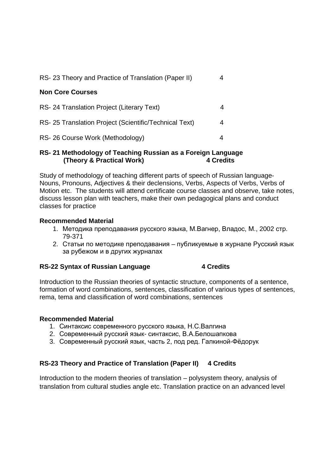| RS-23 Theory and Practice of Translation (Paper II)   | 4 |
|-------------------------------------------------------|---|
| <b>Non Core Courses</b>                               |   |
| RS-24 Translation Project (Literary Text)             |   |
| RS-25 Translation Project (Scientific/Technical Text) | 4 |
| RS-26 Course Work (Methodology)                       |   |

#### **RS- 21 Methodology of Teaching Russian as a Foreign Language (Theory & Practical Work) 4 Credits**

Study of methodology of teaching different parts of speech of Russian language-Nouns, Pronouns, Adjectives & their declensions, Verbs, Aspects of Verbs, Verbs of Motion etc. The students will attend certificate course classes and observe, take notes, discuss lesson plan with teachers, make their own pedagogical plans and conduct classes for practice

## **Recommended Material**

- 1. Методика преподавания русского языка, М.Вагнер, Владос, М., 2002 стр. 79-371
- 2. Статьи по методике преподавания публикуемые в журнале Русский язык за рубежом и в других журналах

## **RS-22 Syntax of Russian Language 4 Credits**

Introduction to the Russian theories of syntactic structure, components of a sentence, formation of word combinations, sentences, classification of various types of sentences, rema, tema and classification of word combinations, sentences

## **Recommended Material**

- 1. Синтаксис современного русского языка, Н.С.Валгина
- 2. Современный русский язык- синтаксис, В.А.Белошапкова
- 3. Современный русский язык, часть 2, под ред. Галкиной-Фёдорук

## **RS-23 Theory and Practice of Translation (Paper II) 4 Credits**

Introduction to the modern theories of translation – polysystem theory, analysis of translation from cultural studies angle etc. Translation practice on an advanced level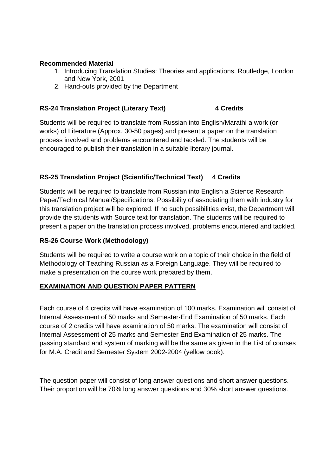#### **Recommended Material**

- 1. Introducing Translation Studies: Theories and applications, Routledge, London and New York, 2001
- 2. Hand-outs provided by the Department

## **RS-24 Translation Project (Literary Text) 4 Credits**

Students will be required to translate from Russian into English/Marathi a work (or works) of Literature (Approx. 30-50 pages) and present a paper on the translation process involved and problems encountered and tackled. The students will be encouraged to publish their translation in a suitable literary journal.

## **RS-25 Translation Project (Scientific/Technical Text) 4 Credits**

Students will be required to translate from Russian into English a Science Research Paper/Technical Manual/Specifications. Possibility of associating them with industry for this translation project will be explored. If no such possibilities exist, the Department will provide the students with Source text for translation. The students will be required to present a paper on the translation process involved, problems encountered and tackled.

#### **RS-26 Course Work (Methodology)**

Students will be required to write a course work on a topic of their choice in the field of Methodology of Teaching Russian as a Foreign Language. They will be required to make a presentation on the course work prepared by them.

#### **EXAMINATION AND QUESTION PAPER PATTERN**

Each course of 4 credits will have examination of 100 marks. Examination will consist of Internal Assessment of 50 marks and Semester-End Examination of 50 marks. Each course of 2 credits will have examination of 50 marks. The examination will consist of Internal Assessment of 25 marks and Semester End Examination of 25 marks. The passing standard and system of marking will be the same as given in the List of courses for M.A. Credit and Semester System 2002-2004 (yellow book).

The question paper will consist of long answer questions and short answer questions. Their proportion will be 70% long answer questions and 30% short answer questions.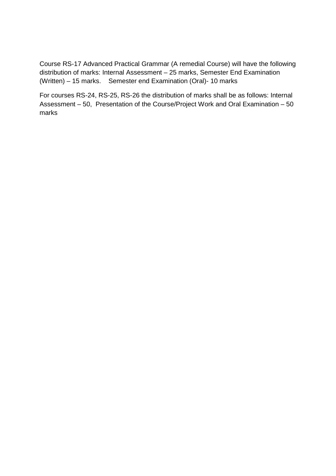Course RS-17 Advanced Practical Grammar (A remedial Course) will have the following distribution of marks: Internal Assessment – 25 marks, Semester End Examination (Written) – 15 marks. Semester end Examination (Oral)- 10 marks

For courses RS-24, RS-25, RS-26 the distribution of marks shall be as follows: Internal Assessment – 50, Presentation of the Course/Project Work and Oral Examination – 50 marks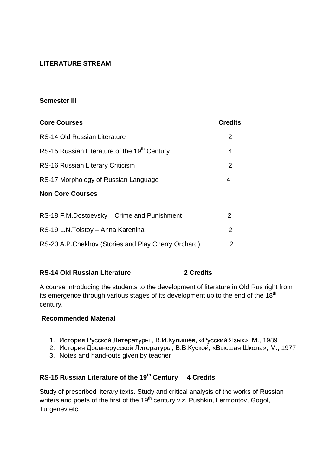## **LITERATURE STREAM**

#### **Semester III**

| <b>Core Courses</b>                                      | <b>Credits</b> |
|----------------------------------------------------------|----------------|
| RS-14 Old Russian Literature                             | 2              |
| RS-15 Russian Literature of the 19 <sup>th</sup> Century | 4              |
| RS-16 Russian Literary Criticism                         | $\overline{2}$ |
| RS-17 Morphology of Russian Language                     | 4              |
| <b>Non Core Courses</b>                                  |                |
|                                                          |                |
| RS-18 F.M.Dostoevsky – Crime and Punishment              | 2              |
| RS-19 L.N. Tolstoy - Anna Karenina                       | 2              |
| RS-20 A.P.Chekhov (Stories and Play Cherry Orchard)      | 2              |

## **RS-14 Old Russian Literature 2 Credits**

A course introducing the students to the development of literature in Old Rus right from its emergence through various stages of its development up to the end of the  $18<sup>th</sup>$ century.

#### **Recommended Material**

- 1. История Русской Литературы , В.И.Кулишёв, «Русский Язык», М., 1989
- 2. История Древнерусской Литературы, В.В.Куской, «Высшая Школа», М., 1977
- 3. Notes and hand-outs given by teacher

# **RS-15 Russian Literature of the 19th Century 4 Credits**

Study of prescribed literary texts. Study and critical analysis of the works of Russian writers and poets of the first of the 19<sup>th</sup> century viz. Pushkin, Lermontov, Gogol, Turgenev etc.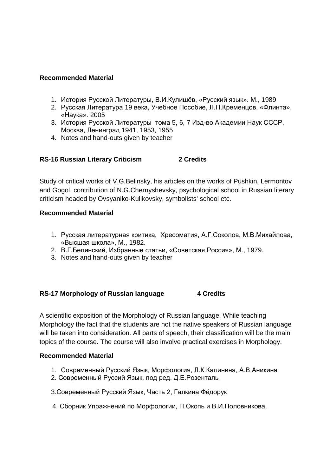#### **Recommended Material**

- 1. История Русской Литературы, В.И.Кулишёв, «Русский язык». М., 1989
- 2. Русская Литература 19 века, Учебное Пособие, Л.П.Кременцов, «Флинта», «Наука». 2005
- 3. История Русской Литературы тома 5, 6, 7 Изд-во Академии Наук СССР, Москва, Ленинград 1941, 1953, 1955
- 4. Notes and hand-outs given by teacher

#### **RS-16 Russian Literary Criticism 2 Credits**

Study of critical works of V.G.Belinsky, his articles on the works of Pushkin, Lermontov and Gogol, contribution of N.G.Chernyshevsky, psychological school in Russian literary criticism headed by Ovsyaniko-Kulikovsky, symbolists' school etc.

#### **Recommended Material**

- 1. Русская литературная критика, Хресоматия, А.Г.Соколов, М.В.Михайлова, «Высшая школа», М., 1982.
- 2. В.Г.Белинский, Избранные статьи, «Советская Россия», М., 1979.
- 3. Notes and hand-outs given by teacher

#### RS-17 Morphology of Russian language 4 Credits

A scientific exposition of the Morphology of Russian language. While teaching Morphology the fact that the students are not the native speakers of Russian language will be taken into consideration. All parts of speech, their classification will be the main topics of the course. The course will also involve practical exercises in Morphology.

- 1. Современный Русский Язык, Морфология, Л.К.Калинина, А.В.Аникина
- 2. Современный Руссий Язык, под ред. Д.Е.Розенталь
- 3.Современный Русский Язык, Часть 2, Галкина Фёдорук
- 4. Сборник Упражнений по Морфологии, П.Окопь и В.И.Половникова,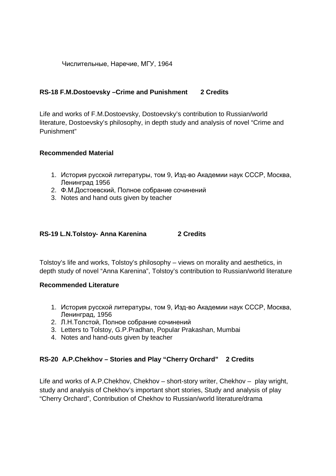Числительные, Наречие, МГУ, 1964

## **RS-18 F.M.Dostoevsky –Crime and Punishment 2 Credits**

Life and works of F.M.Dostoevsky, Dostoevsky's contribution to Russian/world literature, Dostoevsky's philosophy, in depth study and analysis of novel "Crime and Punishment"

## **Recommended Material**

- 1. История русской литературы, том 9, Изд-во Академии наук СССР, Москва, Ленинград 1956
- 2. Ф.М.Достоевский, Полное собрание сочинений
- 3. Notes and hand outs given by teacher

## **RS-19 L.N.Tolstoy- Anna Karenina 2 Credits**

Tolstoy's life and works, Tolstoy's philosophy – views on morality and aesthetics, in depth study of novel "Anna Karenina", Tolstoy's contribution to Russian/world literature

#### **Recommended Literature**

- 1. История русской литературы, том 9, Изд-во Академии наук СССР, Москва, Ленинград, 1956
- 2. Л.Н.Толстой, Полное собрание сочинений
- 3. Letters to Tolstoy, G.P.Pradhan, Popular Prakashan, Mumbai
- 4. Notes and hand-outs given by teacher

## **RS-20 A.P.Chekhov – Stories and Play "Cherry Orchard" 2 Credits**

Life and works of A.P.Chekhov, Chekhov – short-story writer, Chekhov – play wright, study and analysis of Chekhov's important short stories, Study and analysis of play "Cherry Orchard", Contribution of Chekhov to Russian/world literature/drama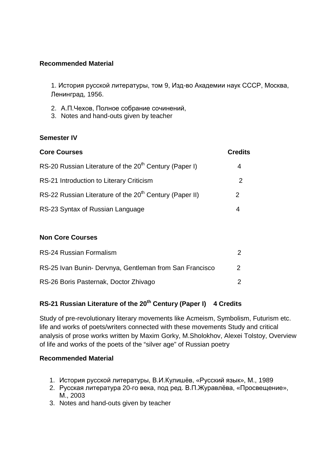## **Recommended Material**

1. История русской литературы, том 9, Изд-во Академии наук СССР, Москва, Ленинград, 1956.

- 2. А.П.Чехов, Полное собрание сочинений,
- 3. Notes and hand-outs given by teacher

#### **Semester IV**

| <b>Core Courses</b>                                                 | <b>Credits</b> |
|---------------------------------------------------------------------|----------------|
| RS-20 Russian Literature of the 20 <sup>th</sup> Century (Paper I)  | 4              |
| RS-21 Introduction to Literary Criticism                            | 2              |
| RS-22 Russian Literature of the 20 <sup>th</sup> Century (Paper II) | 2              |
| RS-23 Syntax of Russian Language                                    |                |

#### **Non Core Courses**

| RS-24 Russian Formalism                                 |  |
|---------------------------------------------------------|--|
| RS-25 Ivan Bunin- Dervnya, Gentleman from San Francisco |  |
| RS-26 Boris Pasternak, Doctor Zhivago                   |  |

# **RS-21 Russian Literature of the 20th Century (Paper I) 4 Credits**

Study of pre-revolutionary literary movements like Acmeism, Symbolism, Futurism etc. life and works of poets/writers connected with these movements Study and critical analysis of prose works written by Maxim Gorky, M.Sholokhov, Alexei Tolstoy, Overview of life and works of the poets of the "silver age" of Russian poetry

- 1. История русской литературы, В.И.Кулишёв, «Русский язык», М., 1989
- 2. Русская литература 20-го века, под ред. В.П.Журавлёва, «Просвещение», М., 2003
- 3. Notes and hand-outs given by teacher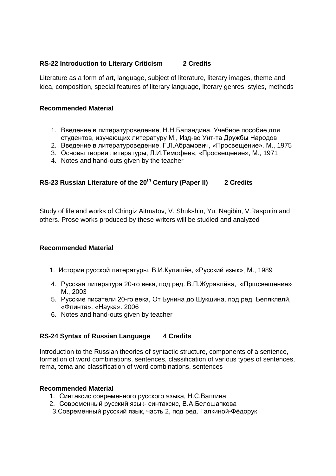#### **RS-22 Introduction to Literary Criticism 2 Credits**

Literature as a form of art, language, subject of literature, literary images, theme and idea, composition, special features of literary language, literary genres, styles, methods

#### **Recommended Material**

- 1. Введение в литературоведение, Н.Н.Баландина, Учебное пособие для студентов, изучающих литературу М., Изд-во Унт-та Дружбы Народов
- 2. Введение в литературоведение, Г.Л.Абрамович, «Просвещение». М., 1975
- 3. Основы теории литературы, Л.И.Тимофеев, «Просвещение», М., 1971
- 4. Notes and hand-outs given by the teacher

## **RS-23 Russian Literature of the 20th Century (Paper II) 2 Credits**

Study of life and works of Chingiz Aitmatov, V. Shukshin, Yu. Nagibin, V.Rasputin and others. Prose works produced by these writers will be studied and analyzed

#### **Recommended Material**

- 1. История русской литературы, В.И.Кулишёв, «Русский язык», М., 1989
- 4. Русская литература 20-го века, под ред. В.П.Журавлёва, «Прщсвещение» М., 2003
- 5. Русские писатели 20-го века, От Бунина до Шукшина, под ред. Беляклвлй, «Флинта». «Наука». 2006
- 6. Notes and hand-outs given by teacher

#### **RS-24 Syntax of Russian Language 4 Credits**

Introduction to the Russian theories of syntactic structure, components of a sentence, formation of word combinations, sentences, classification of various types of sentences, rema, tema and classification of word combinations, sentences

- 1. Синтаксис современного русского языка, Н.С.Валгина
- 2. Современный русский язык- синтаксис, В.А.Белошапкова
- 3.Современный русский язык, часть 2, под ред. Галкиной-Фёдорук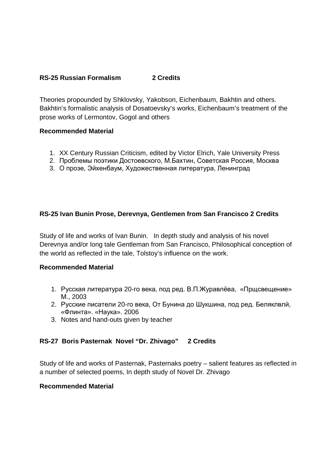## **RS-25 Russian Formalism 2 Credits**

Theories propounded by Shklovsky, Yakobson, Eichenbaum, Bakhtin and others. Bakhtin's formalistic analysis of Dosatoevsky's works, Eichenbaum's treatment of the prose works of Lermontov, Gogol and others

#### **Recommended Material**

- 1. XX Century Russian Criticism, edited by Victor Elrich, Yale University Press
- 2. Проблемы поэтики Достоевского, М.Бахтин, Советская Россия, Москва
- 3. О прозе, Эйхенбаум, Художественная литература, Ленинград

## **RS-25 Ivan Bunin Prose, Derevnya, Gentlemen from San Francisco 2 Credits**

Study of life and works of Ivan Bunin. In depth study and analysis of his novel Derevnya and/or long tale Gentleman from San Francisco, Philosophical conception of the world as reflected in the tale, Tolstoy's influence on the work.

#### **Recommended Material**

- 1. Русская литература 20-го века, под ред. В.П.Журавлёва, «Прщсвещение» М., 2003
- 2. Русские писатели 20-го века, От Бунина до Шукшина, под ред. Беляклвлй, «Флинта». «Наука». 2006
- 3. Notes and hand-outs given by teacher

## **RS-27 Boris Pasternak Novel "Dr. Zhivago" 2 Credits**

Study of life and works of Pasternak, Pasternaks poetry – salient features as reflected in a number of selected poems, In depth study of Novel Dr. Zhivago